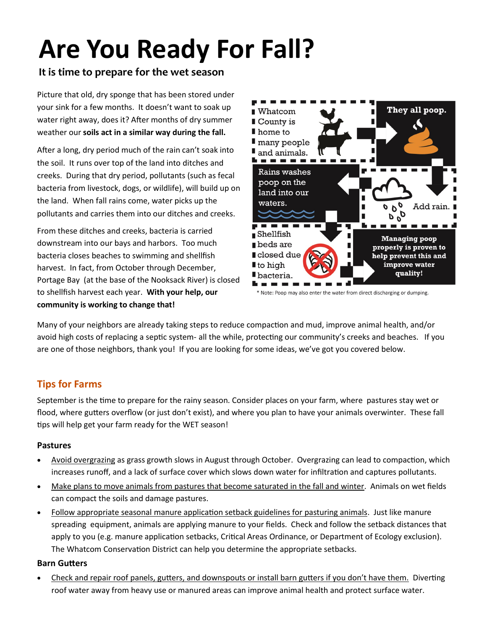# **Are You Ready For Fall?**

# **It is time to prepare for the wet season**

Picture that old, dry sponge that has been stored under your sink for a few months. It doesn't want to soak up water right away, does it? After months of dry summer weather our **soils act in a similar way during the fall.**

After a long, dry period much of the rain can't soak into the soil. It runs over top of the land into ditches and creeks. During that dry period, pollutants (such as fecal bacteria from livestock, dogs, or wildlife), will build up on the land. When fall rains come, water picks up the pollutants and carries them into our ditches and creeks.

From these ditches and creeks, bacteria is carried downstream into our bays and harbors. Too much bacteria closes beaches to swimming and shellfish harvest. In fact, from October through December, Portage Bay (at the base of the Nooksack River) is closed to shellfish harvest each year. **With your help, our community is working to change that!**



\* Note: Poop may also enter the water from direct discharging or dumping.

Many of your neighbors are already taking steps to reduce compaction and mud, improve animal health, and/or avoid high costs of replacing a septic system- all the while, protecting our community's creeks and beaches. If you are one of those neighbors, thank you! If you are looking for some ideas, we've got you covered below.

## **Tips for Farms**

September is the time to prepare for the rainy season. Consider places on your farm, where pastures stay wet or flood, where gutters overflow (or just don't exist), and where you plan to have your animals overwinter. These fall tips will help get your farm ready for the WET season!

## **Pastures**

- Avoid overgrazing as grass growth slows in August through October. Overgrazing can lead to compaction, which increases runoff, and a lack of surface cover which slows down water for infiltration and captures pollutants.
- Make plans to move animals from pastures that become saturated in the fall and winter. Animals on wet fields can compact the soils and damage pastures.
- Follow appropriate seasonal manure application setback guidelines for pasturing animals. Just like manure spreading equipment, animals are applying manure to your fields. Check and follow the setback distances that apply to you (e.g. manure application setbacks, Critical Areas Ordinance, or Department of Ecology exclusion). The Whatcom Conservation District can help you determine the appropriate setbacks.

## **Barn Gutters**

 Check and repair roof panels, gutters, and downspouts or install barn gutters if you don't have them. Diverting roof water away from heavy use or manured areas can improve animal health and protect surface water.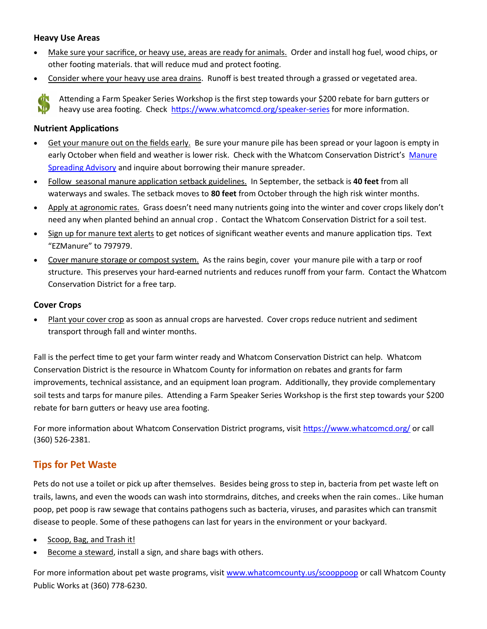#### **Heavy Use Areas**

- Make sure your sacrifice, or heavy use, areas are ready for animals. Order and install hog fuel, wood chips, or other footing materials. that will reduce mud and protect footing.
- Consider where your heavy use area drains. Runoff is best treated through a grassed or vegetated area.

Attending a Farm Speaker Series Workshop is the first step towards your \$200 rebate for barn gutters or ND. heavy use area footing. Check [https://www.whatcomcd.org/speaker](https://www.whatcomcd.org/speaker-series)-series for more information.

#### **Nutrient Applications**

- **Exampted Fields Fields Early.** Be sure your manure pile has been spread or your lagoon is empty in early October when field and weather is lower risk. Check with the Whatcom Conservation District's [Manure](https://whatcomcd.org/msa)  [Spreading Advisory](https://whatcomcd.org/msa) and inquire about borrowing their manure spreader.
- Follow seasonal manure application setback guidelines. In September, the setback is **40 feet** from all waterways and swales. The setback moves to **80 feet** from October through the high risk winter months.
- Apply at agronomic rates. Grass doesn't need many nutrients going into the winter and cover crops likely don't need any when planted behind an annual crop . Contact the Whatcom Conservation District for a soil test.
- Sign up for manure text alerts to get notices of significant weather events and manure application tips. Text "EZManure" to 797979.
- Cover manure storage or compost system. As the rains begin, cover your manure pile with a tarp or roof structure. This preserves your hard-earned nutrients and reduces runoff from your farm. Contact the Whatcom Conservation District for a free tarp.

#### **Cover Crops**

 Plant your cover crop as soon as annual crops are harvested. Cover crops reduce nutrient and sediment transport through fall and winter months.

Fall is the perfect time to get your farm winter ready and Whatcom Conservation District can help. Whatcom Conservation District is the resource in Whatcom County for information on rebates and grants for farm improvements, technical assistance, and an equipment loan program. Additionally, they provide complementary soil tests and tarps for manure piles. Attending a Farm Speaker Series Workshop is the first step towards your \$200 rebate for barn gutters or heavy use area footing.

For more information about Whatcom Conservation District programs, visit<https://www.whatcomcd.org/> or call (360) 526-2381.

## **Tips for Pet Waste**

Pets do not use a toilet or pick up after themselves. Besides being gross to step in, bacteria from pet waste left on trails, lawns, and even the woods can wash into stormdrains, ditches, and creeks when the rain comes.. Like human poop, pet poop is raw sewage that contains pathogens such as bacteria, viruses, and parasites which can transmit disease to people. Some of these pathogens can last for years in the environment or your backyard.

- Scoop, Bag, and Trash it!
- Become a steward, install a sign, and share bags with others.

For more information about pet waste programs, visit [www.whatcomcounty.us/scooppoop](http://www.whatcomcounty.us/scooppoop) or call Whatcom County Public Works at (360) 778-6230.